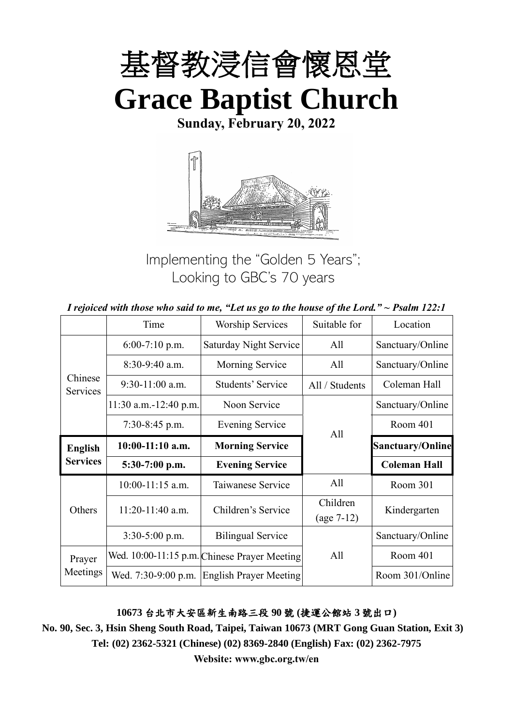

**Sunday, February 20, 2022**



Implementing the "Golden 5 Years"; Looking to GBC's 70 years

|  | I rejoiced with those who said to me, "Let us go to the house of the Lord." $\sim$ Psalm 122:1 |
|--|------------------------------------------------------------------------------------------------|
|--|------------------------------------------------------------------------------------------------|

|                     | Time                    | <b>Worship Services</b>                      | Suitable for             | Location                |
|---------------------|-------------------------|----------------------------------------------|--------------------------|-------------------------|
|                     | $6:00-7:10$ p.m.        | <b>Saturday Night Service</b>                | All                      | Sanctuary/Online        |
|                     | 8:30-9:40 a.m.          | Morning Service                              | All                      | Sanctuary/Online        |
| Chinese<br>Services | $9:30-11:00$ a.m.       | Students' Service                            | All / Students           | Coleman Hall            |
|                     | $11:30$ a.m.-12:40 p.m. | Noon Service                                 |                          | Sanctuary/Online        |
|                     | $7:30-8:45$ p.m.        | <b>Evening Service</b>                       | All                      | Room 401                |
| <b>English</b>      | $10:00-11:10$ a.m.      | <b>Morning Service</b>                       |                          | <b>Sanctuary/Online</b> |
| <b>Services</b>     | 5:30-7:00 p.m.          | <b>Evening Service</b>                       |                          | <b>Coleman Hall</b>     |
|                     | $10:00-11:15$ a.m.      | Taiwanese Service                            | All                      | Room 301                |
| Others              | 11:20-11:40 a.m.        | Children's Service                           | Children<br>$(age 7-12)$ | Kindergarten            |
|                     | 3:30-5:00 p.m.          | <b>Bilingual Service</b>                     |                          | Sanctuary/Online        |
| Prayer              |                         | Wed. 10:00-11:15 p.m. Chinese Prayer Meeting | All                      | Room 401                |
| Meetings            | Wed. 7:30-9:00 p.m.     | <b>English Prayer Meeting</b>                |                          | Room 301/Online         |

**10673** 台北市大安區新生南路三段 **90** 號 **(**捷運公館站 **3** 號出口**)**

**No. 90, Sec. 3, Hsin Sheng South Road, Taipei, Taiwan 10673 (MRT Gong Guan Station, Exit 3) Tel: (02) 2362-5321 (Chinese) (02) 8369-2840 (English) Fax: (02) 2362-7975**

**Website: www.gbc.org.tw/en**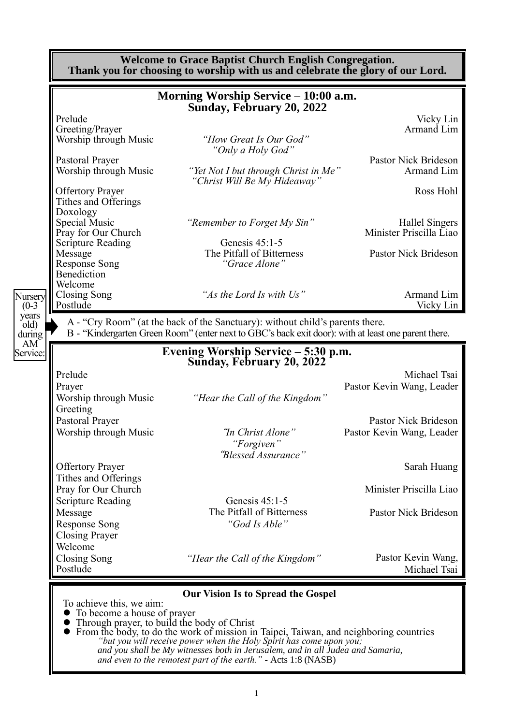|                                     |                                                                                                             | Morning Worship Service - 10:00 a.m.<br>Sunday, February 20, 2022                                                                                                                                                                                            |                                                   |
|-------------------------------------|-------------------------------------------------------------------------------------------------------------|--------------------------------------------------------------------------------------------------------------------------------------------------------------------------------------------------------------------------------------------------------------|---------------------------------------------------|
|                                     | Prelude<br>Greeting/Prayer<br>Worship through Music                                                         | "How Great Is Our God"<br>"Only a Holy God"                                                                                                                                                                                                                  | Vicky Lin<br>Armand Lim                           |
|                                     | Pastoral Prayer<br>Worship through Music                                                                    | "Yet Not I but through Christ in Me"<br>"Christ Will Be My Hideaway"                                                                                                                                                                                         | Pastor Nick Brideson<br>Armand Lim                |
|                                     | <b>Offertory Prayer</b><br>Tithes and Offerings<br>Doxology                                                 |                                                                                                                                                                                                                                                              | Ross Hohl                                         |
|                                     | Special Music<br>Pray for Our Church<br><b>Scripture Reading</b>                                            | "Remember to Forget My Sin"<br>Genesis 45:1-5                                                                                                                                                                                                                | Hallel Singers<br>Minister Priscilla Liao         |
|                                     | Message<br><b>Response Song</b><br>Benediction<br>Welcome                                                   | The Pitfall of Bitterness<br>"Grace Alone"                                                                                                                                                                                                                   | Pastor Nick Brideson                              |
| Nursery<br>$(0-3)$<br>years<br>old) | Closing Song<br>Postlude                                                                                    | "As the Lord Is with Us"                                                                                                                                                                                                                                     | Armand Lim<br>Vicky Lin                           |
| AM<br>Service:                      |                                                                                                             | Evening Worship Service - 5:30 p.m.<br>Sunday, February 20, 2022                                                                                                                                                                                             |                                                   |
|                                     | Prelude<br>Prayer<br>Worship through Music<br>Greeting                                                      | "Hear the Call of the Kingdom"                                                                                                                                                                                                                               | Michael Tsai<br>Pastor Kevin Wang, Leader         |
|                                     | Pastoral Prayer<br>Worship through Music                                                                    | "In Christ Alone"<br>"Forgiven<br>"Blessed Assurance"                                                                                                                                                                                                        | Pastor Nick Brideson<br>Pastor Kevin Wang, Leader |
|                                     | <b>Offertory Prayer</b><br>Tithes and Offerings                                                             |                                                                                                                                                                                                                                                              | Sarah Huang                                       |
|                                     | Pray for Our Church<br><b>Scripture Reading</b><br>Message<br><b>Response Song</b><br><b>Closing Prayer</b> | Genesis 45:1-5<br>The Pitfall of Bitterness<br>"God Is Able"                                                                                                                                                                                                 | Minister Priscilla Liao<br>Pastor Nick Brideson   |
|                                     | Welcome<br>Closing Song<br>Postlude                                                                         | "Hear the Call of the Kingdom"                                                                                                                                                                                                                               | Pastor Kevin Wang,<br>Michael Tsai                |
|                                     | To achieve this, we aim:<br>To become a house of prayer                                                     | <b>Our Vision Is to Spread the Gospel</b><br>• Through prayer, to build the body of Christ<br>• From the body, to do the work of mission in Taipei, Taiwan, and neighboring countries<br>"but you will receive power when the Holy Spirit has come upon you; |                                                   |

*and you shall be My witnesses both in Jerusalem, and in all Judea and Samaria, and even to the remotest part of the earth." -* Acts 1:8 (NASB)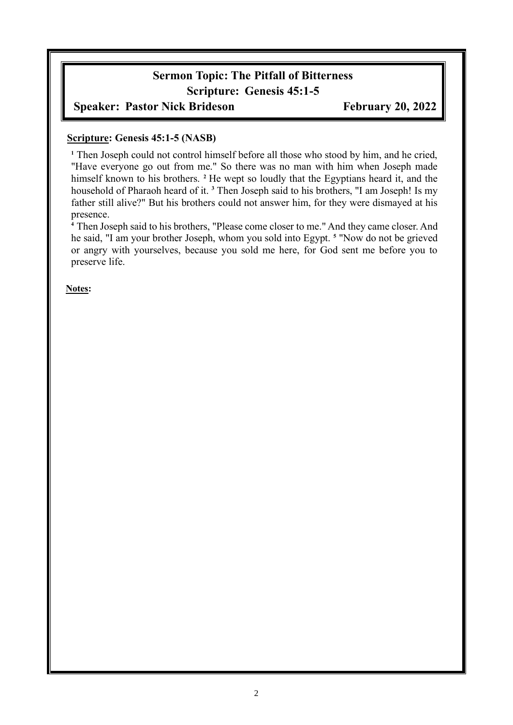# **Sermon Topic: The Pitfall of Bitterness Scripture: Genesis 45:1-5**

### **Speaker: Pastor Nick Brideson February 20, 2022**

#### **Scripture: Genesis 45:1-5 (NASB)**

**<sup>1</sup>** Then Joseph could not control himself before all those who stood by him, and he cried, "Have everyone go out from me." So there was no man with him when Joseph made himself known to his brothers. **<sup>2</sup>** He wept so loudly that the Egyptians heard it, and the household of Pharaoh heard of it. **<sup>3</sup>** Then Joseph said to his brothers, "I am Joseph! Is my father still alive?" But his brothers could not answer him, for they were dismayed at his presence.

**<sup>4</sup>** Then Joseph said to his brothers, "Please come closer to me." And they came closer. And he said, "I am your brother Joseph, whom you sold into Egypt. **<sup>5</sup>** "Now do not be grieved or angry with yourselves, because you sold me here, for God sent me before you to preserve life.

**Notes:**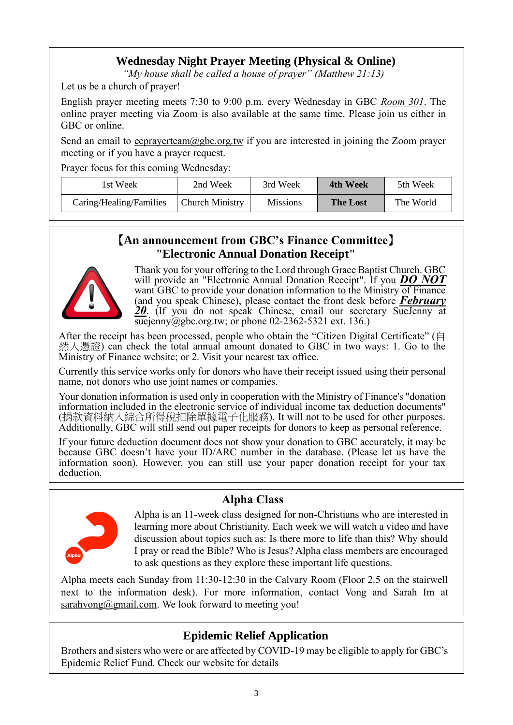## **Wednesday Night Prayer Meeting (Physical & Online)**

*"My house shall be called a house of prayer" (Matthew 21:13)*

Let us be a church of prayer!

English prayer meeting meets 7:30 to 9:00 p.m. every Wednesday in GBC *Room 301*. The online prayer meeting via Zoom is also available at the same time. Please join us either in GBC or online.

Send an email to  $ecprayerteam@gbc.org.tw$  if you are interested in joining the Zoom prayer</u> meeting or if you have a prayer request.

Prayer focus for this coming Wednesday:

| lst Week                | 2nd Week               | 3rd Week        | 4th Week        | 5th Week  |
|-------------------------|------------------------|-----------------|-----------------|-----------|
| Caring/Healing/Families | <b>Church Ministry</b> | <b>Missions</b> | <b>The Lost</b> | The World |

#### 【**An announcement from GBC's Finance Committee**】 **"Electronic Annual Donation Receipt"**



Thank you for your offering to the Lord through Grace Baptist Church. GBC will provide an "Electronic Annual Donation Receipt". If you *DO NOT* want GBC to provide your donation information to the Ministry of Finance (and you speak Chinese), please contact the front desk before *February 20*. (If you do not speak Chinese, email our secretary SueJenny at [suejenny@gbc.org.tw;](mailto:suejenny@gbc.org.tw) or phone  $02-2362-5321$  ext. 136.)

After the receipt has been processed, people who obtain the "Citizen Digital Certificate" (自 然人憑證) can check the total annual amount donated to GBC in two ways: 1. Go to the Ministry of Finance website; or 2. Visit your nearest tax office.

Currently this service works only for donors who have their receipt issued using their personal name, not donors who use joint names or companies.

Your donation information is used only in cooperation with the Ministry of Finance's "donation information included in the electronic service of individual income tax deduction documents" (捐款資料納入綜合所得稅扣除單據電子化服務). It will not to be used for other purposes. Additionally, GBC will still send out paper receipts for donors to keep as personal reference.

If your future deduction document does not show your donation to GBC accurately, it may be because GBC doesn't have your ID/ARC number in the database. (Please let us have the information soon). However, you can still use your paper donation receipt for your tax deduction.



## **Alpha Class**

Alpha is an 11-week class designed for non-Christians who are interested in learning more about Christianity. Each week we will watch a video and have discussion about topics such as: Is there more to life than this? Why should I pray or read the Bible? Who is Jesus? Alpha class members are encouraged to ask questions as they explore these important life questions.

Alpha meets each Sunday from 11:30-12:30 in the Calvary Room (Floor 2.5 on the stairwell next to the information desk). For more information, contact Vong and Sarah Im at sarahvong@gmail.com. We look forward to meeting you!

# **Epidemic Relief Application**

Brothers and sisters who were or are affected by COVID-19 may be eligible to apply for GBC's Epidemic Relief Fund. Check our website for details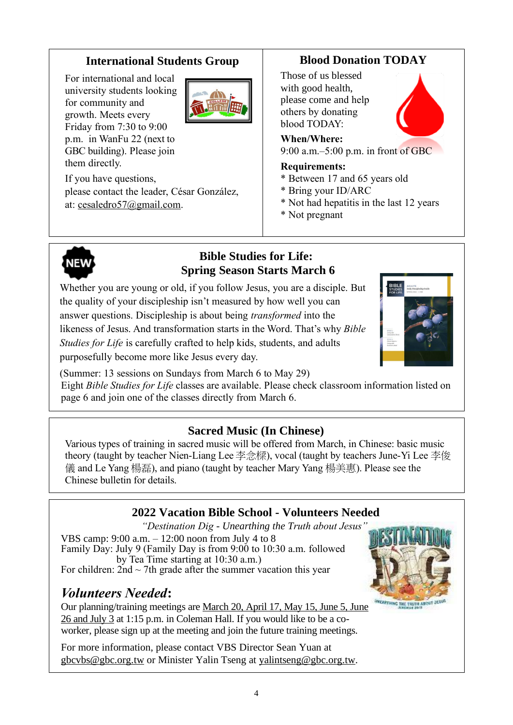## **International Students Group**

For international and local university students looking for community and growth. Meets every Friday from 7:30 to 9:00 p.m. in WanFu 22 (next to GBC building). Please join them directly.



If you have questions, please contact the leader, César González, at: [cesaledro57@gmail.com.](mailto:cesaledro57@gmail.com)

# **Blood Donation TODAY**

Those of us blessed with good health, please come and help others by donating blood TODAY:

**When/Where:**

9:00 a.m.–5:00 p.m. in front of GBC

#### **Requirements:**

- \* Between 17 and 65 years old
- \* Bring your ID/ARC
- \* Not had hepatitis in the last 12 years
- \* Not pregnant



#### **Bible Studies for Life: Spring Season Starts March 6**

Whether you are young or old, if you follow Jesus, you are a disciple. But the quality of your discipleship isn't measured by how well you can answer questions. Discipleship is about being *transformed* into the likeness of Jesus. And transformation starts in the Word. That's why *Bible Studies for Life* is carefully crafted to help kids, students, and adults purposefully become more like Jesus every day.



(Summer: 13 sessions on Sundays from March 6 to May 29)

Eight *Bible Studies for Life* classes are available. Please check classroom information listed on page 6 and join one of the classes directly from March 6.

### **Sacred Music (In Chinese)**

Various types of training in sacred music will be offered from March, in Chinese: basic music theory (taught by teacher Nien-Liang Lee 李念樑), vocal (taught by teachers June-Yi Lee 李俊 儀 and Le Yang 楊磊), and piano (taught by teacher Mary Yang 楊美惠). Please see the Chinese bulletin for details.

## **2022 Vacation Bible School - Volunteers Needed**

*"Destination Dig - Unearthing the Truth about Jesus"* VBS camp: 9:00 a.m. – 12:00 noon from July 4 to 8 Family Day: July 9 (Family Day is from 9:00 to 10:30 a.m. followed by Tea Time starting at 10:30 a.m.) For children:  $2nd \sim 7th$  grade after the summer vacation this year

# *Volunteers Needed***:**

Our planning/training meetings are March 20, April 17, May 15, June 5, June 26 and July 3 at 1:15 p.m. in Coleman Hall. If you would like to be a coworker, please sign up at the meeting and join the future training meetings.

For more information, please contact VBS Director Sean Yuan at [gbcvbs@gbc.org.tw](mailto:gbcvbs@gbc.org.tw) or Minister Yalin Tseng at yalintseng@gbc.org.tw.

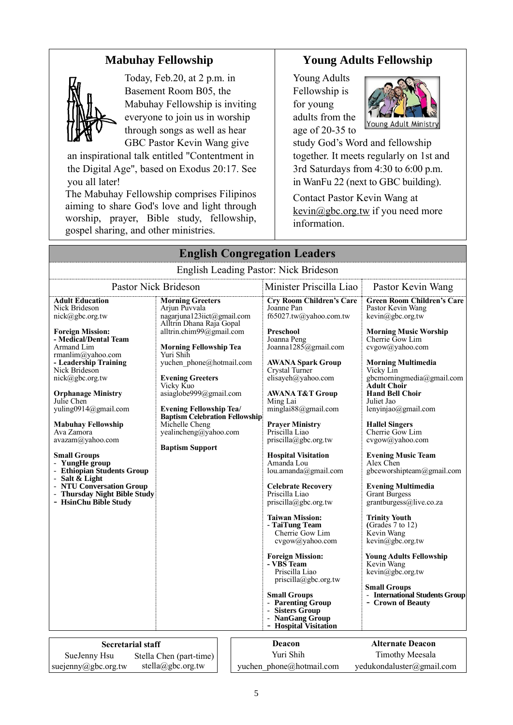## **Mabuhay Fellowship**



Today, Feb.20, at 2 p.m. in Basement Room B05, the Mabuhay Fellowship is inviting everyone to join us in worship through songs as well as hear GBC Pastor Kevin Wang give

an inspirational talk entitled "Contentment in the Digital Age", based on Exodus 20:17. See you all later!

The Mabuhay Fellowship comprises Filipinos aiming to share God's love and light through worship, prayer, Bible study, fellowship, gospel sharing, and other ministries.

# **Young Adults Fellowship**

Young Adults Fellowship is for young adults from the age of 20-35 to



study God's Word and fellowship together. It meets regularly on 1st and 3rd Saturdays from 4:30 to 6:00 p.m. in WanFu 22 (next to GBC building).

Contact Pastor Kevin Wang at kevin@gbc.org.tw if you need more information.

| <b>English Congregation Leaders</b>                                                                                                                                                                                                                                                                                                                                                                                                                                                                                            |                                                                                                                                                                                                                                                                                                                                                                                                                            |                                     |                                                                                                                                                                                                                                                                                                                                                                                                                                                                                                                                                                                                                                                                            |                                                                                                                                                                                                                                                                                                                                                                                                                                                                                                                                                                                                                                                                                    |  |
|--------------------------------------------------------------------------------------------------------------------------------------------------------------------------------------------------------------------------------------------------------------------------------------------------------------------------------------------------------------------------------------------------------------------------------------------------------------------------------------------------------------------------------|----------------------------------------------------------------------------------------------------------------------------------------------------------------------------------------------------------------------------------------------------------------------------------------------------------------------------------------------------------------------------------------------------------------------------|-------------------------------------|----------------------------------------------------------------------------------------------------------------------------------------------------------------------------------------------------------------------------------------------------------------------------------------------------------------------------------------------------------------------------------------------------------------------------------------------------------------------------------------------------------------------------------------------------------------------------------------------------------------------------------------------------------------------------|------------------------------------------------------------------------------------------------------------------------------------------------------------------------------------------------------------------------------------------------------------------------------------------------------------------------------------------------------------------------------------------------------------------------------------------------------------------------------------------------------------------------------------------------------------------------------------------------------------------------------------------------------------------------------------|--|
| English Leading Pastor: Nick Brideson                                                                                                                                                                                                                                                                                                                                                                                                                                                                                          |                                                                                                                                                                                                                                                                                                                                                                                                                            |                                     |                                                                                                                                                                                                                                                                                                                                                                                                                                                                                                                                                                                                                                                                            |                                                                                                                                                                                                                                                                                                                                                                                                                                                                                                                                                                                                                                                                                    |  |
| Pastor Nick Brideson                                                                                                                                                                                                                                                                                                                                                                                                                                                                                                           |                                                                                                                                                                                                                                                                                                                                                                                                                            |                                     | Minister Priscilla Liao                                                                                                                                                                                                                                                                                                                                                                                                                                                                                                                                                                                                                                                    | Pastor Kevin Wang                                                                                                                                                                                                                                                                                                                                                                                                                                                                                                                                                                                                                                                                  |  |
| <b>Adult Education</b><br>Nick Brideson<br>nick@gbc.org.tw<br><b>Foreign Mission:</b><br>- Medical/Dental Team<br>Armand Lim<br>rmanlim@yahoo.com<br>- Leadership Training<br>Nick Brideson<br>nick@gbc.org.tw<br><b>Orphanage Ministry</b><br>Julie Chen<br>yuling0914@gmail.com<br><b>Mabuhay Fellowship</b><br>Ava Zamora<br>avazam@yahoo.com<br><b>Small Groups</b><br>- YungHe group<br>- Ethiopian Students Group<br>- Salt & Light<br>- NTU Conversation Group<br>- Thursday Night Bible Study<br>- HsinChu Bible Study | <b>Morning Greeters</b><br>Arjun Puvvala<br>nagarjuna123iict@gmail.com<br>Alltrin Dhana Raja Gopal<br>alltrin.chim99@gmail.com<br><b>Morning Fellowship Tea</b><br>Yuri Shih<br>yuchen phone@hotmail.com<br><b>Evening Greeters</b><br>Vicky Kuo<br>asiaglobe999@gmail.com<br><b>Evening Fellowship Tea/</b><br><b>Baptism Celebration Fellowship</b><br>Michelle Cheng<br>yealincheng@yahoo.com<br><b>Baptism Support</b> |                                     | <b>Cry Room Children's Care</b><br>Joanne Pan<br>f65027.tw@yahoo.com.tw<br>Preschool<br>Joanna Peng<br>Joanna1285@gmail.com<br><b>AWANA Spark Group</b><br>Crystal Turner<br>elisayeh@yahoo.com<br><b>AWANA T&amp;T Group</b><br>Ming Lai<br>minglai88@gmail.com<br><b>Prayer Ministry</b><br>Priscilla Liao<br>priscilla@gbc.org.tw<br><b>Hospital Visitation</b><br>Amanda Lou<br>lou.amanda@gmail.com<br><b>Celebrate Recovery</b><br>Priscilla Liao<br>$priscilla(\omega)$ gbc.org.tw<br><b>Taiwan Mission:</b><br>- TaiTung Team<br>Cherrie Gow Lim<br>cvgow@yahoo.com<br><b>Foreign Mission:</b><br>- VBS Team<br>Priscilla Liao<br>$priscilla(\partial gbc.org.tw)$ | <b>Green Room Children's Care</b><br>Pastor Kevin Wang<br>kevin@gbc.org.tw<br><b>Morning Music Worship</b><br>Cherrie Gow Lim<br>cvgow@yahoo.com<br><b>Morning Multimedia</b><br>Vicky Lin<br>gbcmorningmedia@gmail.com<br><b>Adult Choir</b><br><b>Hand Bell Choir</b><br>Juliet Jao<br>lenyinjao@gmail.com<br><b>Hallel Singers</b><br>Cherrie Gow Lim<br>cvgow@yahoo.com<br><b>Evening Music Team</b><br>Alex Chen<br>gbceworshipteam@gmail.com<br><b>Evening Multimedia</b><br><b>Grant Burgess</b><br>grantburgess@live.co.za<br><b>Trinity Youth</b><br>(Grades $7$ to $12$ )<br>Kevin Wang<br>kevin@gbc.org.tw<br>Young Adults Fellowship<br>Kevin Wang<br>kevin@gbc.org.tw |  |
|                                                                                                                                                                                                                                                                                                                                                                                                                                                                                                                                |                                                                                                                                                                                                                                                                                                                                                                                                                            |                                     | <b>Small Groups</b><br>- Parenting Group<br>- Sisters Group<br>- NanGang Group<br>- Hospital Visitation                                                                                                                                                                                                                                                                                                                                                                                                                                                                                                                                                                    | <b>Small Groups</b><br>- International Students Group<br>- Crown of Beauty                                                                                                                                                                                                                                                                                                                                                                                                                                                                                                                                                                                                         |  |
|                                                                                                                                                                                                                                                                                                                                                                                                                                                                                                                                |                                                                                                                                                                                                                                                                                                                                                                                                                            |                                     |                                                                                                                                                                                                                                                                                                                                                                                                                                                                                                                                                                                                                                                                            |                                                                                                                                                                                                                                                                                                                                                                                                                                                                                                                                                                                                                                                                                    |  |
| <b>Secretarial staff</b>                                                                                                                                                                                                                                                                                                                                                                                                                                                                                                       |                                                                                                                                                                                                                                                                                                                                                                                                                            | <b>Alternate Deacon</b><br>Deacon   |                                                                                                                                                                                                                                                                                                                                                                                                                                                                                                                                                                                                                                                                            |                                                                                                                                                                                                                                                                                                                                                                                                                                                                                                                                                                                                                                                                                    |  |
| SueJenny Hsu                                                                                                                                                                                                                                                                                                                                                                                                                                                                                                                   | Stella Chen (part-time)                                                                                                                                                                                                                                                                                                                                                                                                    | Yuri Shih<br><b>Timothy Meesala</b> |                                                                                                                                                                                                                                                                                                                                                                                                                                                                                                                                                                                                                                                                            |                                                                                                                                                                                                                                                                                                                                                                                                                                                                                                                                                                                                                                                                                    |  |
| suejenny@gbc.org.tw                                                                                                                                                                                                                                                                                                                                                                                                                                                                                                            | stella@gbc.org.tw                                                                                                                                                                                                                                                                                                                                                                                                          |                                     | yuchen phone@hotmail.com                                                                                                                                                                                                                                                                                                                                                                                                                                                                                                                                                                                                                                                   | yedukondaluster@gmail.com                                                                                                                                                                                                                                                                                                                                                                                                                                                                                                                                                                                                                                                          |  |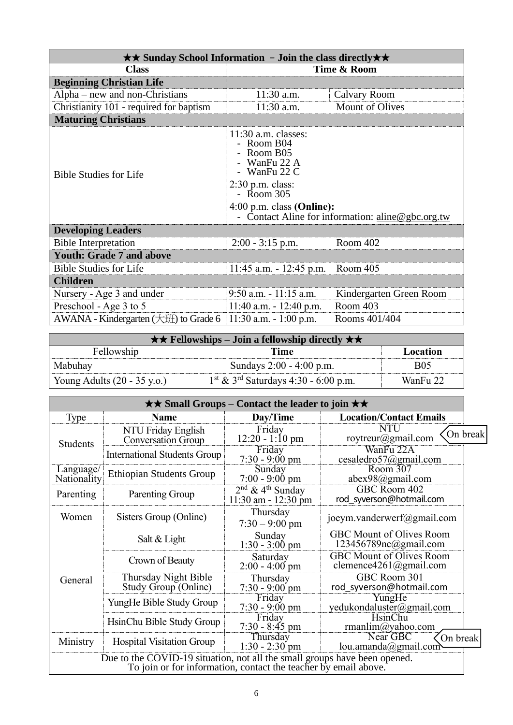| $\star\star$ Sunday School Information - Join the class directly $\star\star$ |                                                                                                                                                                                                                            |                         |  |  |
|-------------------------------------------------------------------------------|----------------------------------------------------------------------------------------------------------------------------------------------------------------------------------------------------------------------------|-------------------------|--|--|
| <b>Class</b>                                                                  | Time & Room                                                                                                                                                                                                                |                         |  |  |
| <b>Beginning Christian Life</b>                                               |                                                                                                                                                                                                                            |                         |  |  |
| $Alpha$ – new and non-Christians                                              | $11:30$ a.m.                                                                                                                                                                                                               | Calvary Room            |  |  |
| Christianity 101 - required for baptism                                       | 11:30 a.m.                                                                                                                                                                                                                 | <b>Mount of Olives</b>  |  |  |
| <b>Maturing Christians</b>                                                    |                                                                                                                                                                                                                            |                         |  |  |
| <b>Bible Studies for Life</b>                                                 | $11:30$ a.m. classes:<br>- Room B04<br>- Room B05<br>- WanFu 22 A<br>- WanFu $22 \text{ C}$<br>$2:30$ p.m. class:<br>- Room 305<br>$4:00$ p.m. class (Online):<br>Contact Aline for information: $\text{aline@gbc.org.tw}$ |                         |  |  |
| <b>Developing Leaders</b>                                                     |                                                                                                                                                                                                                            |                         |  |  |
| <b>Bible Interpretation</b>                                                   | $2:00 - 3:15$ p.m.                                                                                                                                                                                                         | Room 402                |  |  |
| <b>Youth: Grade 7 and above</b>                                               |                                                                                                                                                                                                                            |                         |  |  |
| <b>Bible Studies for Life</b>                                                 | Room 405<br>$11:45$ a.m. $-12:45$ p.m.                                                                                                                                                                                     |                         |  |  |
| <b>Children</b>                                                               |                                                                                                                                                                                                                            |                         |  |  |
| Nursery - Age 3 and under                                                     | $9:50$ a.m. $-11:15$ a.m.                                                                                                                                                                                                  | Kindergarten Green Room |  |  |
| Preschool - Age 3 to 5                                                        | Room 403<br>$11:40$ a.m. $-12:40$ p.m.                                                                                                                                                                                     |                         |  |  |
| AWANA - Kindergarten $(\pm 1)$ to Grade 6                                     | $11:30$ a.m. $-1:00$ p.m.                                                                                                                                                                                                  | Rooms 401/404           |  |  |

| $\star \star$ Fellowships – Join a fellowship directly $\star \star$ |                                                    |            |  |
|----------------------------------------------------------------------|----------------------------------------------------|------------|--|
| Fellowship<br>Location<br>Time                                       |                                                    |            |  |
| Mabuhay                                                              | Sundays 2:00 - 4:00 p.m.                           | <b>B05</b> |  |
| Young Adults $(20 - 35 \text{ y.o.})$                                | $1st$ & 3 <sup>rd</sup> Saturdays 4:30 - 6:00 p.m. | WanFu 22   |  |

| $\star\star$ Small Groups – Contact the leader to join $\star\star$                                                                          |                                                                              |                                                           |                                                           |          |
|----------------------------------------------------------------------------------------------------------------------------------------------|------------------------------------------------------------------------------|-----------------------------------------------------------|-----------------------------------------------------------|----------|
| Type                                                                                                                                         | <b>Name</b>                                                                  | Day/Time                                                  | <b>Location/Contact Emails</b>                            |          |
| NTU Friday English<br><b>Conversation Group</b><br>Students                                                                                  |                                                                              | Friday<br>$12:20 - 1:10$ pm                               | <b>NTU</b><br>roytreur@gmail.com                          | On break |
|                                                                                                                                              | <b>International Students Group</b>                                          | Friday<br>$7:30 - 9:00 \text{ pm}$                        | WanFu 22A<br>cesaledro57@gmail.com                        |          |
| Language/<br>Nationality                                                                                                                     | <b>Ethiopian Students Group</b>                                              | Sunday<br>$7:00 - 9:00 \text{ pm}$                        | Room 307<br>abex98@gmail.com                              |          |
| Parenting                                                                                                                                    | Parenting Group                                                              | $2nd$ & 4 <sup>th</sup> Sunday<br>$11:30$ am - $12:30$ pm | GBC Room 402<br>rod syverson@hotmail.com                  |          |
| Women                                                                                                                                        | Sisters Group (Online)                                                       | Thursday<br>$7:30 - 9:00$ pm                              | joeym.vanderwerf@gmail.com                                |          |
|                                                                                                                                              | Salt & Light                                                                 | Sunday<br>$1:30 - 3:00$ pm                                | <b>GBC Mount of Olives Room</b><br>123456789nc@gmail.com  |          |
| General                                                                                                                                      | Crown of Beauty                                                              | Saturday<br>$2:00 - 4:00$ pm                              | <b>GBC Mount of Olives Room</b><br>clemence4261@gmail.com |          |
|                                                                                                                                              | Thursday Night Bible<br>Study Group (Online)                                 | Thursday<br>$7:30 - 9:00$ pm                              | GBC Room 301<br>rod syverson@hotmail.com                  |          |
|                                                                                                                                              | YungHe Bible Study Group                                                     | Friday<br>$7:30 - 9:00$ pm                                | YungHe<br>yedukondaluster@gmail.com                       |          |
| HsinChu Bible Study Group                                                                                                                    |                                                                              | Friday<br>$7:30 - 8:45$ pm                                | <b>HsinChu</b><br>rmanlim@yahoo.com                       |          |
| Ministry                                                                                                                                     | Near GBC<br>Thursday<br><b>Hospital Visitation Group</b><br>$1:30 - 2:30$ pm |                                                           | On break<br>lou.amanda@gmail.com                          |          |
| Due to the COVID-19 situation, not all the small groups have been opened.<br>To join or for information, contact the teacher by email above. |                                                                              |                                                           |                                                           |          |